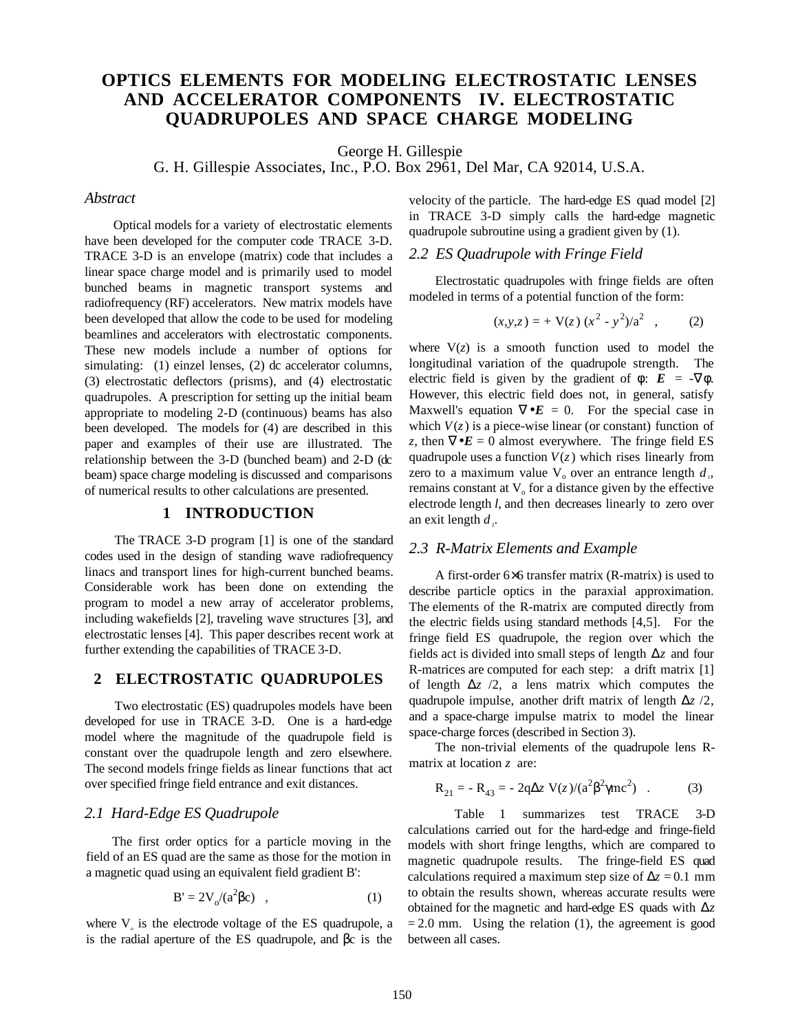# **OPTICS ELEMENTS FOR MODELING ELECTROSTATIC LENSES AND ACCELERATOR COMPONENTS IV. ELECTROSTATIC QUADRUPOLES AND SPACE CHARGE MODELING**

George H. Gillespie

G. H. Gillespie Associates, Inc., P.O. Box 2961, Del Mar, CA 92014, U.S.A.

#### *Abstract*

Optical models for a variety of electrostatic elements have been developed for the computer code TRACE 3-D. TRACE 3-D is an envelope (matrix) code that includes a linear space charge model and is primarily used to model bunched beams in magnetic transport systems and radiofrequency (RF) accelerators. New matrix models have been developed that allow the code to be used for modeling beamlines and accelerators with electrostatic components. These new models include a number of options for simulating: (1) einzel lenses, (2) dc accelerator columns, (3) electrostatic deflectors (prisms), and (4) electrostatic quadrupoles. A prescription for setting up the initial beam appropriate to modeling 2-D (continuous) beams has also been developed. The models for (4) are described in this paper and examples of their use are illustrated. The relationship between the 3-D (bunched beam) and 2-D (dc beam) space charge modeling is discussed and comparisons of numerical results to other calculations are presented.

#### **1 INTRODUCTION**

The TRACE 3-D program [1] is one of the standard codes used in the design of standing wave radiofrequency linacs and transport lines for high-current bunched beams. Considerable work has been done on extending the program to model a new array of accelerator problems, including wakefields [2], traveling wave structures [3], and electrostatic lenses [4]. This paper describes recent work at further extending the capabilities of TRACE 3-D.

#### **2 ELECTROSTATIC QUADRUPOLES**

Two electrostatic (ES) quadrupoles models have been developed for use in TRACE 3-D. One is a hard-edge model where the magnitude of the quadrupole field is constant over the quadrupole length and zero elsewhere. The second models fringe fields as linear functions that act over specified fringe field entrance and exit distances.

## *2.1 Hard-Edge ES Quadrupole*

The first order optics for a particle moving in the field of an ES quad are the same as those for the motion in a magnetic quad using an equivalent field gradient B':

$$
B' = 2V_o/(a^2 \beta c) , \qquad (1)
$$

where  $V<sub>o</sub>$  is the electrode voltage of the ES quadrupole, a is the radial aperture of the ES quadrupole, and βc is the

velocity of the particle. The hard-edge ES quad model [2] in TRACE 3-D simply calls the hard-edge magnetic quadrupole subroutine using a gradient given by (1).

## *2.2 ES Quadrupole with Fringe Field*

Electrostatic quadrupoles with fringe fields are often modeled in terms of a potential function of the form:

$$
(x, y, z) = + \mathbf{V}(z) (x^{2} - y^{2})/a^{2}, \qquad (2)
$$

where  $V(z)$  is a smooth function used to model the longitudinal variation of the quadrupole strength. The electric field is given by the gradient of  $\phi$ :  $E = -\nabla \phi$ . However, this electric field does not, in general, satisfy Maxwell's equation  $\nabla \cdot \mathbf{E} = 0$ . For the special case in which  $V(z)$  is a piece-wise linear (or constant) function of *z*, then  $\nabla \cdot \mathbf{E} = 0$  almost everywhere. The fringe field ES quadrupole uses a function  $V(z)$  which rises linearly from zero to a maximum value  $V_0$  over an entrance length  $d_1$ , remains constant at  $V<sub>o</sub>$  for a distance given by the effective electrode length *l*, and then decreases linearly to zero over an exit length  $d_{\gamma}$ .

## *2.3 R-Matrix Elements and Example*

A first-order 6×6 transfer matrix (R-matrix) is used to describe particle optics in the paraxial approximation. The elements of the R-matrix are computed directly from the electric fields using standard methods [4,5]. For the fringe field ES quadrupole, the region over which the fields act is divided into small steps of length ∆*z* and four R-matrices are computed for each step: a drift matrix [1] of length  $\Delta z$  /2, a lens matrix which computes the quadrupole impulse, another drift matrix of length ∆*z* /2, and a space-charge impulse matrix to model the linear space-charge forces (described in Section 3).

The non-trivial elements of the quadrupole lens Rmatrix at location *z* are:

$$
R_{21} = -R_{43} = -2q\Delta z \ V(z)/(a^2 \beta^2 \gamma mc^2) \quad . \tag{3}
$$

Table 1 summarizes test TRACE 3-D calculations carried out for the hard-edge and fringe-field models with short fringe lengths, which are compared to magnetic quadrupole results. The fringe-field ES quad calculations required a maximum step size of  $\Delta z = 0.1$  mm to obtain the results shown, whereas accurate results were obtained for the magnetic and hard-edge ES quads with ∆*z*  $= 2.0$  mm. Using the relation (1), the agreement is good between all cases.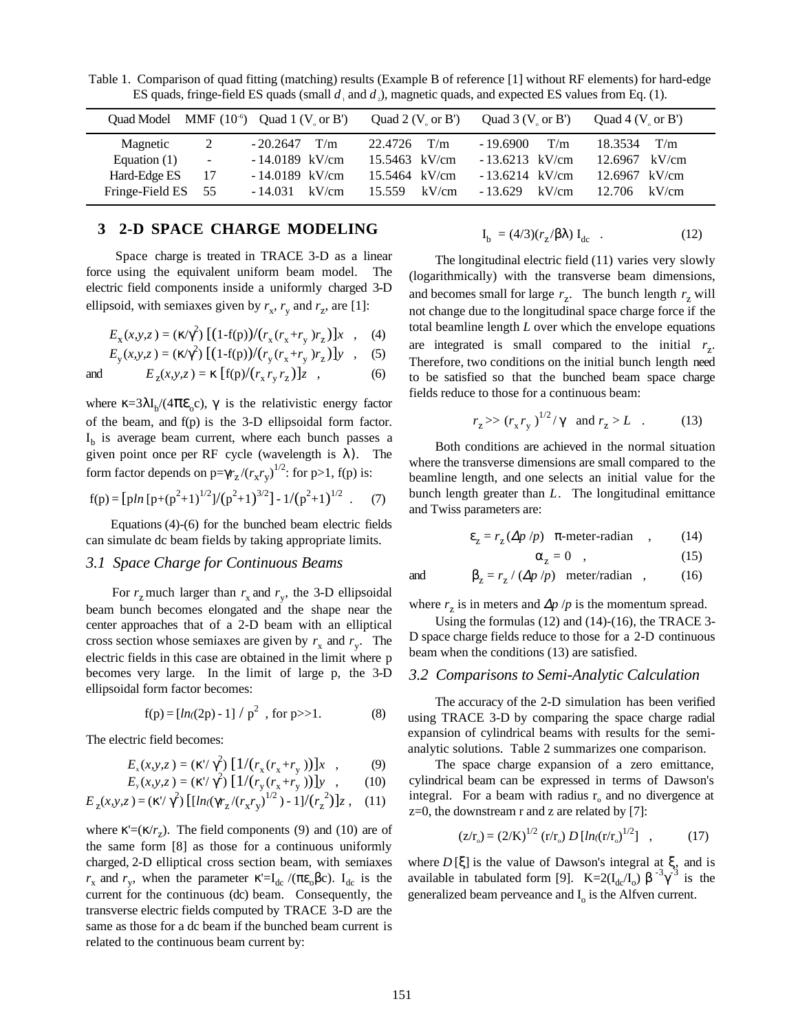Quad Model MMF  $(10^{\circ})$  Quad  $1 (V_{o} \text{ or } B')$  Quad  $2 (V_{o} \text{ or } B')$  Quad  $3 (V_{o} \text{ or } B')$  Quad  $4 (V_{o} \text{ or } B')$ Magnetic 2 - 20.2647 T/m 22.4726 T/m - 19.6900 T/m 18.3534 T/m Equation (1) - - 14.0189 kV/cm 15.5463 kV/cm - 13.6213 kV/cm 12.6967 kV/cm Hard-Edge ES 17 - 14.0189 kV/cm 15.5464 kV/cm - 13.6214 kV/cm 12.6967 kV/cm Fringe-Field ES 55 - 14.031 kV/cm 15.559 kV/cm - 13.629 kV/cm 12.706 kV/cm

Table 1. Comparison of quad fitting (matching) results (Example B of reference [1] without RF elements) for hard-edge ES quads, fringe-field ES quads (small  $d_1$  and  $d_2$ ), magnetic quads, and expected ES values from Eq. (1).

## **3 2-D SPACE CHARGE MODELING**

Space charge is treated in TRACE 3-D as a linear force using the equivalent uniform beam model. The electric field components inside a uniformly charged 3-D ellipsoid, with semiaxes given by  $r_x$ ,  $r_y$  and  $r_z$ , are [1]:

$$
E_{x}(x, y, z) = (\kappa/\gamma^{2}) \left[ (1 - f(p))/(r_{x}(r_{x} + r_{y})r_{z}) \right] x , \quad (4)
$$

$$
E_{y}(x, y, z) = (\kappa/\gamma^{2}) \left[ (1 - f(p)) / (r_{y}(r_{x} + r_{y})r_{z}) \right] y , (5)
$$

and 
$$
E_z(x, y, z) = \kappa [f(p)/(r_x r_y r_z)]z
$$
, (6)

where  $\kappa = 3\lambda I_b/(4\pi \varepsilon_0 c)$ ,  $\gamma$  is the relativistic energy factor of the beam, and f(p) is the 3-D ellipsoidal form factor.  $I<sub>b</sub>$  is average beam current, where each bunch passes a given point once per RF cycle (wavelength is  $\lambda$ ). The form factor depends on  $p=\gamma r_z/(r_x r_y)^{1/2}$ : for  $p>1$ , f(p) is:

$$
f(p) = \left[ p \ln \left[ p + (p^2 + 1)^{1/2} \right] / (p^2 + 1)^{3/2} \right] - 1 / (p^2 + 1)^{1/2} \quad . \tag{7}
$$

Equations (4)-(6) for the bunched beam electric fields can simulate dc beam fields by taking appropriate limits.

#### *3.1 Space Charge for Continuous Beams*

For  $r_z$  much larger than  $r_x$  and  $r_y$ , the 3-D ellipsoidal beam bunch becomes elongated and the shape near the center approaches that of a 2-D beam with an elliptical cross section whose semiaxes are given by  $r_x$  and  $r_y$ . The electric fields in this case are obtained in the limit where p becomes very large. In the limit of large p, the 3-D ellipsoidal form factor becomes:

$$
f(p) = [ln((2p) - 1] / p2 , for p>>1.
$$
 (8)

The electric field becomes:

$$
E_x(x, y, z) = (\kappa' / \gamma^2) \left[ \frac{1}{r_x(r_x + r_y)} \right] x , \qquad (9)
$$
  
\n
$$
E_y(x, y, z) = (\kappa' / \gamma^2) \left[ \frac{1}{r_y(r_x + r_y)} \right] x , \qquad (10)
$$

$$
E_{y}(x, y, z) = (\kappa'/\gamma^{2}) \left[ \frac{1}{r_{y}(r_{x} + r_{y})} \right] y \quad , \qquad (10)
$$

$$
E_z(x, y, z) = (\kappa' / \gamma^2) \left[ \left[ \ln((\gamma r_z / (r_x r_y)^{1/2}) - 1) / (r_z^2) \right] z \right], \quad (11)
$$

where  $\kappa' = (\kappa/r_\tau)$ . The field components (9) and (10) are of the same form [8] as those for a continuous uniformly charged, 2-D elliptical cross section beam, with semiaxes *r*<sub>x</sub> and *r*<sub>y</sub>, when the parameter κ'=I<sub>dc</sub> /(πε<sub>o</sub>βc). I<sub>dc</sub> is the current for the continuous (dc) beam. Consequently, the transverse electric fields computed by TRACE 3-D are the same as those for a dc beam if the bunched beam current is related to the continuous beam current by:

$$
I_b = (4/3)(r_z/\beta\lambda) I_{dc} \quad . \tag{12}
$$

The longitudinal electric field (11) varies very slowly (logarithmically) with the transverse beam dimensions, and becomes small for large  $r<sub>z</sub>$ . The bunch length  $r<sub>z</sub>$  will not change due to the longitudinal space charge force if the total beamline length *L* over which the envelope equations are integrated is small compared to the initial  $r<sub>z</sub>$ . Therefore, two conditions on the initial bunch length need to be satisfied so that the bunched beam space charge fields reduce to those for a continuous beam:

$$
r_z \gg (r_x r_y)^{1/2} / \gamma
$$
 and  $r_z > L$ . (13)

Both conditions are achieved in the normal situation where the transverse dimensions are small compared to the beamline length, and one selects an initial value for the bunch length greater than *L*. The longitudinal emittance and Twiss parameters are:

$$
\varepsilon_z = r_z \left(\Delta p \ / p\right) \ \pi\text{-meter-radian} \quad , \tag{14}
$$

$$
\alpha_{z} = 0 \quad , \tag{15}
$$

and 
$$
\beta_z = r_z / (\Delta p / p)
$$
 meter/radian , (16)

where  $r_z$  is in meters and  $\Delta p / p$  is the momentum spread.

Using the formulas (12) and (14)-(16), the TRACE 3- D space charge fields reduce to those for a 2-D continuous beam when the conditions (13) are satisfied.

#### *3.2 Comparisons to Semi-Analytic Calculation*

The accuracy of the 2-D simulation has been verified using TRACE 3-D by comparing the space charge radial expansion of cylindrical beams with results for the semianalytic solutions. Table 2 summarizes one comparison.

The space charge expansion of a zero emittance, cylindrical beam can be expressed in terms of Dawson's integral. For a beam with radius  $r_0$  and no divergence at  $z=0$ , the downstream r and z are related by [7]:

$$
(z/r_0) = (2/K)^{1/2} (r/r_0) D [ln((r/r_0)^{1/2}], \qquad (17)
$$

where  $D[\xi]$  is the value of Dawson's integral at  $\xi$ , and is available in tabulated form [9].  $K=2(I_{dc}/I_0) \beta^{-3}\gamma^{-3}$  is the generalized beam perveance and  $I_0$  is the Alfven current.